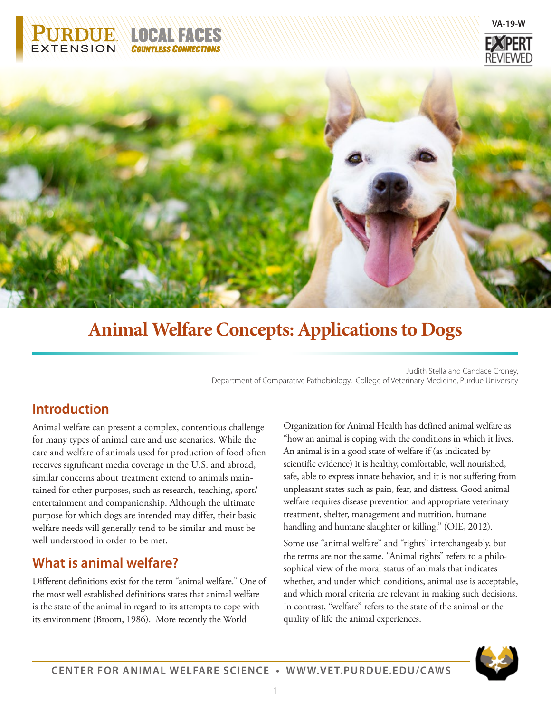





# **Animal Welfare Concepts: Applications to Dogs**

Judith Stella and Candace Croney, Department of Comparative Pathobiology, College of Veterinary Medicine, Purdue University

# **Introduction**

Animal welfare can present a complex, contentious challenge for many types of animal care and use scenarios. While the care and welfare of animals used for production of food often receives significant media coverage in the U.S. and abroad, similar concerns about treatment extend to animals maintained for other purposes, such as research, teaching, sport/ entertainment and companionship. Although the ultimate purpose for which dogs are intended may differ, their basic welfare needs will generally tend to be similar and must be well understood in order to be met.

# **What is animal welfare?**

Different definitions exist for the term "animal welfare." One of the most well established definitions states that animal welfare is the state of the animal in regard to its attempts to cope with its environment (Broom, 1986). More recently the World

Organization for Animal Health has defined animal welfare as "how an animal is coping with the conditions in which it lives. An animal is in a good state of welfare if (as indicated by scientific evidence) it is healthy, comfortable, well nourished, safe, able to express innate behavior, and it is not suffering from unpleasant states such as pain, fear, and distress. Good animal welfare requires disease prevention and appropriate veterinary treatment, shelter, management and nutrition, humane handling and humane slaughter or killing." (OIE, 2012).

Some use "animal welfare" and "rights" interchangeably, but the terms are not the same. "Animal rights" refers to a philosophical view of the moral status of animals that indicates whether, and under which conditions, animal use is acceptable, and which moral criteria are relevant in making such decisions. In contrast, "welfare" refers to the state of the animal or the quality of life the animal experiences.

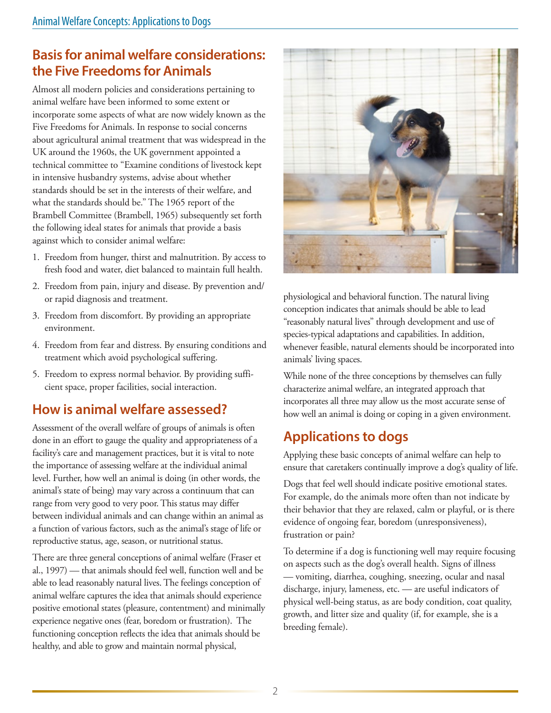# **Basis for animal welfare considerations: the Five Freedoms for Animals**

Almost all modern policies and considerations pertaining to animal welfare have been informed to some extent or incorporate some aspects of what are now widely known as the Five Freedoms for Animals. In response to social concerns about agricultural animal treatment that was widespread in the UK around the 1960s, the UK government appointed a technical committee to "Examine conditions of livestock kept in intensive husbandry systems, advise about whether standards should be set in the interests of their welfare, and what the standards should be." The 1965 report of the Brambell Committee (Brambell, 1965) subsequently set forth the following ideal states for animals that provide a basis against which to consider animal welfare:

- 1. Freedom from hunger, thirst and malnutrition. By access to fresh food and water, diet balanced to maintain full health.
- 2. Freedom from pain, injury and disease. By prevention and/ or rapid diagnosis and treatment.
- 3. Freedom from discomfort. By providing an appropriate environment.
- 4. Freedom from fear and distress. By ensuring conditions and treatment which avoid psychological suffering.
- 5. Freedom to express normal behavior. By providing sufficient space, proper facilities, social interaction.

# **How is animal welfare assessed?**

Assessment of the overall welfare of groups of animals is often done in an effort to gauge the quality and appropriateness of a facility's care and management practices, but it is vital to note the importance of assessing welfare at the individual animal level. Further, how well an animal is doing (in other words, the animal's state of being) may vary across a continuum that can range from very good to very poor. This status may differ between individual animals and can change within an animal as a function of various factors, such as the animal's stage of life or reproductive status, age, season, or nutritional status.

There are three general conceptions of animal welfare (Fraser et al., 1997) — that animals should feel well, function well and be able to lead reasonably natural lives. The feelings conception of animal welfare captures the idea that animals should experience positive emotional states (pleasure, contentment) and minimally experience negative ones (fear, boredom or frustration). The functioning conception reflects the idea that animals should be healthy, and able to grow and maintain normal physical,



physiological and behavioral function. The natural living conception indicates that animals should be able to lead "reasonably natural lives" through development and use of species-typical adaptations and capabilities. In addition, whenever feasible, natural elements should be incorporated into animals' living spaces.

While none of the three conceptions by themselves can fully characterize animal welfare, an integrated approach that incorporates all three may allow us the most accurate sense of how well an animal is doing or coping in a given environment.

# **Applications to dogs**

Applying these basic concepts of animal welfare can help to ensure that caretakers continually improve a dog's quality of life.

Dogs that feel well should indicate positive emotional states. For example, do the animals more often than not indicate by their behavior that they are relaxed, calm or playful, or is there evidence of ongoing fear, boredom (unresponsiveness), frustration or pain?

To determine if a dog is functioning well may require focusing on aspects such as the dog's overall health. Signs of illness — vomiting, diarrhea, coughing, sneezing, ocular and nasal discharge, injury, lameness, etc. — are useful indicators of physical well-being status, as are body condition, coat quality, growth, and litter size and quality (if, for example, she is a breeding female).